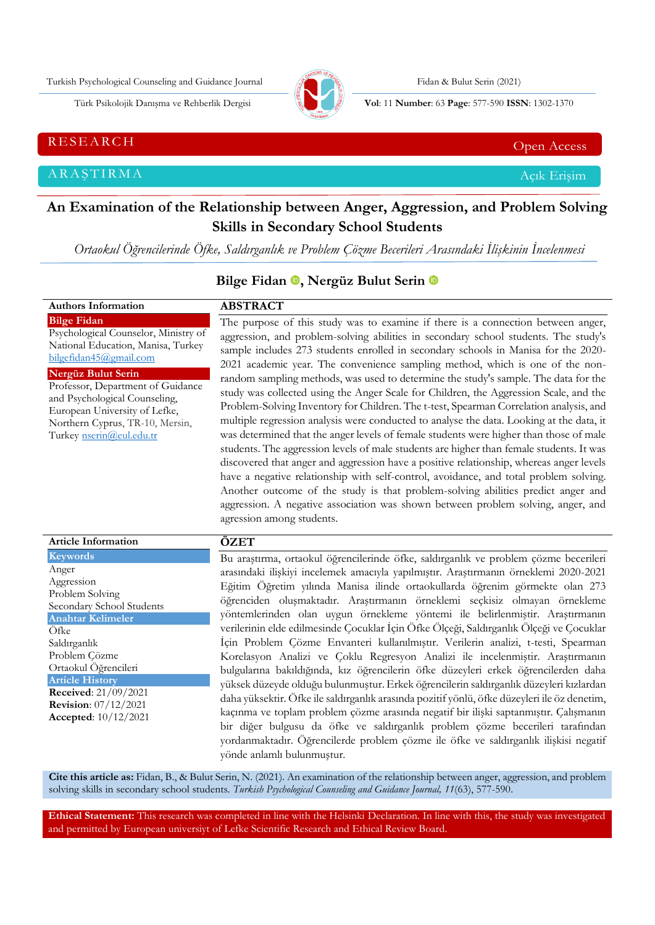Turkish Psychological Counseling and Guidance Journal Fidan & Bulut Serin (2021)



Türk Psikolojik Danışma ve Rehberlik Dergisi **Vol**: 11 **Number**: 63 **Page** : 577-590 **ISSN**: 1302-1370

RESEARCH CHE Open Access And the Contract of the Contract of the Contract of the Contract of the Contract of the Contract of the Contract of the Contract of the Contract of the Contract of the Contract of the Contract of t

ARAŞTIRMA Açık Erişim

**Authors Information**

# **An Examination of the Relationship between Anger, Aggression, and Problem Solving Skills in Secondary School Students**

*Ortaokul Öğrencilerinde Öfke, Saldırganlık ve Problem Çözme Becerileri Arasındaki İlişkinin İncelenmesi*

## **Bilge Fidan , Nergüz Bulut Serin**

**ABSTRACT**

| <b>Bilge Fidan</b><br>Psychological Counselor, Ministry of<br>National Education, Manisa, Turkey<br>bilgefidan45@gmail.com<br>Nergüz Bulut Serin<br>Professor, Department of Guidance<br>and Psychological Counseling,<br>European University of Lefke,<br>Northern Cyprus, TR-10, Mersin,<br>Turkey nserin@eul.edu.tr | The purpose of this study was to examine if there is a connection between anger,<br>aggression, and problem-solving abilities in secondary school students. The study's<br>sample includes 273 students enrolled in secondary schools in Manisa for the 2020-<br>2021 academic year. The convenience sampling method, which is one of the non-<br>random sampling methods, was used to determine the study's sample. The data for the<br>study was collected using the Anger Scale for Children, the Aggression Scale, and the<br>Problem-Solving Inventory for Children. The t-test, Spearman Correlation analysis, and<br>multiple regression analysis were conducted to analyse the data. Looking at the data, it<br>was determined that the anger levels of female students were higher than those of male<br>students. The aggression levels of male students are higher than female students. It was<br>discovered that anger and aggression have a positive relationship, whereas anger levels<br>have a negative relationship with self-control, avoidance, and total problem solving.<br>Another outcome of the study is that problem-solving abilities predict anger and<br>aggression. A negative association was shown between problem solving, anger, and<br>agression among students. |
|------------------------------------------------------------------------------------------------------------------------------------------------------------------------------------------------------------------------------------------------------------------------------------------------------------------------|-----------------------------------------------------------------------------------------------------------------------------------------------------------------------------------------------------------------------------------------------------------------------------------------------------------------------------------------------------------------------------------------------------------------------------------------------------------------------------------------------------------------------------------------------------------------------------------------------------------------------------------------------------------------------------------------------------------------------------------------------------------------------------------------------------------------------------------------------------------------------------------------------------------------------------------------------------------------------------------------------------------------------------------------------------------------------------------------------------------------------------------------------------------------------------------------------------------------------------------------------------------------------------------------------------|
| <b>Article Information</b>                                                                                                                                                                                                                                                                                             | ÖZET                                                                                                                                                                                                                                                                                                                                                                                                                                                                                                                                                                                                                                                                                                                                                                                                                                                                                                                                                                                                                                                                                                                                                                                                                                                                                                |
| <b>Keywords</b>                                                                                                                                                                                                                                                                                                        | Bu araştırma, ortaokul öğrencilerinde öfke, saldırganlık ve problem çözme becerileri                                                                                                                                                                                                                                                                                                                                                                                                                                                                                                                                                                                                                                                                                                                                                                                                                                                                                                                                                                                                                                                                                                                                                                                                                |
| Anger<br>Aggression<br>Problem Solving<br>Secondary School Students<br><b>Anahtar Kelimeler</b><br>Öfke<br>Saldırganlık<br>Problem Çözme<br>Ortaokul Öğrencileri<br><b>Article History</b><br>Received: 21/09/2021<br><b>Revision:</b> 07/12/2021                                                                      | arasındaki ilişkiyi incelemek amacıyla yapılmıştır. Araştırmanın örneklemi 2020-2021<br>Eğitim Öğretim yılında Manisa ilinde ortaokullarda öğrenim görmekte olan 273<br>öğrenciden oluşmaktadır. Araştırmanın örneklemi seçkisiz olmayan örnekleme<br>yöntemlerinden olan uygun örnekleme yöntemi ile belirlenmiştir. Araştırmanın<br>verilerinin elde edilmesinde Çocuklar İçin Öfke Ölçeği, Saldırganlık Ölçeği ve Çocuklar<br>İçin Problem Çözme Envanteri kullanılmıştır. Verilerin analizi, t-testi, Spearman<br>Korelasyon Analizi ve Çoklu Regresyon Analizi ile incelenmiştir. Araştırmanın<br>bulgularına bakıldığında, kız öğrencilerin öfke düzeyleri erkek öğrencilerden daha<br>yüksek düzeyde olduğu bulunmuştur. Erkek öğrencilerin saldırganlık düzeyleri kızlardan<br>daha yüksektir. Öfke ile saldırganlık arasında pozitif yönlü, öfke düzeyleri ile öz denetim,                                                                                                                                                                                                                                                                                                                                                                                                                 |
| Accepted: $10/12/2021$                                                                                                                                                                                                                                                                                                 | kaçınma ve toplam problem çözme arasında negatif bir ilişki saptanmıştır. Çalışmanın                                                                                                                                                                                                                                                                                                                                                                                                                                                                                                                                                                                                                                                                                                                                                                                                                                                                                                                                                                                                                                                                                                                                                                                                                |

**Cite this article as:** Fidan, B., & Bulut Serin, N. (2021). An examination of the relationship between anger, aggression, and problem solving skills in secondary school students*. Turkish Psychological Counseling and Guidance Journal, 11*(63), 577-590.

yönde anlamlı bulunmuştur.

bir diğer bulgusu da öfke ve saldırganlık problem çözme becerileri tarafından yordanmaktadır. Öğrencilerde problem çözme ile öfke ve saldırganlık ilişkisi negatif

**Ethical Statement:** This research was completed in line with the Helsinki Declaration. In line with this, the study was investigated and permitted by European universiyt of Lefke Scientific Research and Ethical Review Board.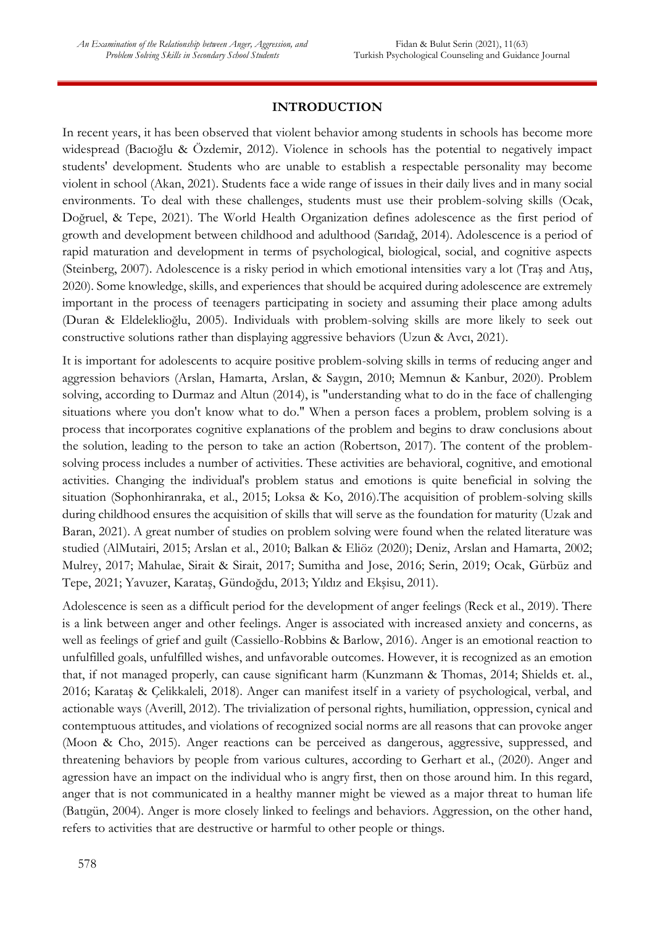### **INTRODUCTION**

In recent years, it has been observed that violent behavior among students in schools has become more widespread (Bacıoğlu & Özdemir, 2012). Violence in schools has the potential to negatively impact students' development. Students who are unable to establish a respectable personality may become violent in school (Akan, 2021). Students face a wide range of issues in their daily lives and in many social environments. To deal with these challenges, students must use their problem-solving skills (Ocak, Doğruel, & Tepe, 2021). The World Health Organization defines adolescence as the first period of growth and development between childhood and adulthood (Sarıdağ, 2014). Adolescence is a period of rapid maturation and development in terms of psychological, biological, social, and cognitive aspects (Steinberg, 2007). Adolescence is a risky period in which emotional intensities vary a lot (Traş and Atış, 2020). Some knowledge, skills, and experiences that should be acquired during adolescence are extremely important in the process of teenagers participating in society and assuming their place among adults (Duran & Eldeleklioğlu, 2005). Individuals with problem-solving skills are more likely to seek out constructive solutions rather than displaying aggressive behaviors (Uzun & Avcı, 2021).

It is important for adolescents to acquire positive problem-solving skills in terms of reducing anger and aggression behaviors (Arslan, Hamarta, Arslan, & Saygın, 2010; Memnun & Kanbur, 2020). Problem solving, according to Durmaz and Altun (2014), is "understanding what to do in the face of challenging situations where you don't know what to do." When a person faces a problem, problem solving is a process that incorporates cognitive explanations of the problem and begins to draw conclusions about the solution, leading to the person to take an action (Robertson, 2017). The content of the problemsolving process includes a number of activities. These activities are behavioral, cognitive, and emotional activities. Changing the individual's problem status and emotions is quite beneficial in solving the situation (Sophonhiranraka, et al., 2015; Loksa & Ko, 2016).The acquisition of problem-solving skills during childhood ensures the acquisition of skills that will serve as the foundation for maturity (Uzak and Baran, 2021). A great number of studies on problem solving were found when the related literature was studied (AlMutairi, 2015; Arslan et al., 2010; Balkan & Eliöz (2020); Deniz, Arslan and Hamarta, 2002; Mulrey, 2017; Mahulae, Sirait & Sirait, 2017; Sumitha and Jose, 2016; Serin, 2019; Ocak, Gürbüz and Tepe, 2021; Yavuzer, Karataş, Gündoğdu, 2013; Yıldız and Ekşisu, 2011).

Adolescence is seen as a difficult period for the development of anger feelings (Reck et al., 2019). There is a link between anger and other feelings. Anger is associated with increased anxiety and concerns, as well as feelings of grief and guilt (Cassiello-Robbins & Barlow, 2016). Anger is an emotional reaction to unfulfilled goals, unfulfilled wishes, and unfavorable outcomes. However, it is recognized as an emotion that, if not managed properly, can cause significant harm (Kunzmann & Thomas, 2014; Shields et. al., 2016; Karataş & Çelikkaleli, 2018). Anger can manifest itself in a variety of psychological, verbal, and actionable ways (Averill, 2012). The trivialization of personal rights, humiliation, oppression, cynical and contemptuous attitudes, and violations of recognized social norms are all reasons that can provoke anger (Moon & Cho, 2015). Anger reactions can be perceived as dangerous, aggressive, suppressed, and threatening behaviors by people from various cultures, according to Gerhart et al., (2020). Anger and agression have an impact on the individual who is angry first, then on those around him. In this regard, anger that is not communicated in a healthy manner might be viewed as a major threat to human life (Batıgün, 2004). Anger is more closely linked to feelings and behaviors. Aggression, on the other hand, refers to activities that are destructive or harmful to other people or things.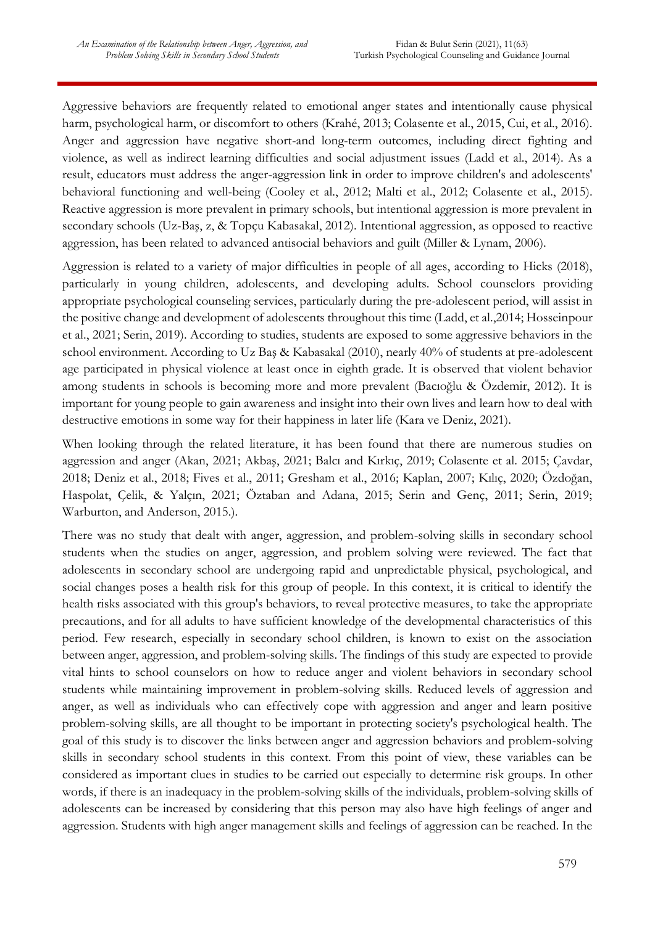Aggressive behaviors are frequently related to emotional anger states and intentionally cause physical harm, psychological harm, or discomfort to others (Krahé, 2013; Colasente et al., 2015, Cui, et al., 2016). Anger and aggression have negative short-and long-term outcomes, including direct fighting and violence, as well as indirect learning difficulties and social adjustment issues (Ladd et al., 2014). As a result, educators must address the anger-aggression link in order to improve children's and adolescents' behavioral functioning and well-being (Cooley et al., 2012; Malti et al., 2012; Colasente et al., 2015). Reactive aggression is more prevalent in primary schools, but intentional aggression is more prevalent in secondary schools (Uz-Baş, z, & Topçu Kabasakal, 2012). Intentional aggression, as opposed to reactive aggression, has been related to advanced antisocial behaviors and guilt (Miller & Lynam, 2006).

Aggression is related to a variety of major difficulties in people of all ages, according to Hicks (2018), particularly in young children, adolescents, and developing adults. School counselors providing appropriate psychological counseling services, particularly during the pre-adolescent period, will assist in the positive change and development of adolescents throughout this time (Ladd, et al.,2014; Hosseinpour et al., 2021; Serin, 2019). According to studies, students are exposed to some aggressive behaviors in the school environment. According to Uz Baş & Kabasakal (2010), nearly 40% of students at pre-adolescent age participated in physical violence at least once in eighth grade. It is observed that violent behavior among students in schools is becoming more and more prevalent (Bacıoğlu & Özdemir, 2012). It is important for young people to gain awareness and insight into their own lives and learn how to deal with destructive emotions in some way for their happiness in later life (Kara ve Deniz, 2021).

When looking through the related literature, it has been found that there are numerous studies on aggression and anger (Akan, 2021; Akbaş, 2021; Balcı and Kırkıç, 2019; Colasente et al. 2015; Çavdar, 2018; Deniz et al., 2018; Fives et al., 2011; Gresham et al., 2016; Kaplan, 2007; Kılıç, 2020; Özdoğan, Haspolat, Çelik, & Yalçın, 2021; Öztaban and Adana, 2015; Serin and Genç, 2011; Serin, 2019; Warburton, and Anderson, 2015.).

There was no study that dealt with anger, aggression, and problem-solving skills in secondary school students when the studies on anger, aggression, and problem solving were reviewed. The fact that adolescents in secondary school are undergoing rapid and unpredictable physical, psychological, and social changes poses a health risk for this group of people. In this context, it is critical to identify the health risks associated with this group's behaviors, to reveal protective measures, to take the appropriate precautions, and for all adults to have sufficient knowledge of the developmental characteristics of this period. Few research, especially in secondary school children, is known to exist on the association between anger, aggression, and problem-solving skills. The findings of this study are expected to provide vital hints to school counselors on how to reduce anger and violent behaviors in secondary school students while maintaining improvement in problem-solving skills. Reduced levels of aggression and anger, as well as individuals who can effectively cope with aggression and anger and learn positive problem-solving skills, are all thought to be important in protecting society's psychological health. The goal of this study is to discover the links between anger and aggression behaviors and problem-solving skills in secondary school students in this context. From this point of view, these variables can be considered as important clues in studies to be carried out especially to determine risk groups. In other words, if there is an inadequacy in the problem-solving skills of the individuals, problem-solving skills of adolescents can be increased by considering that this person may also have high feelings of anger and aggression. Students with high anger management skills and feelings of aggression can be reached. In the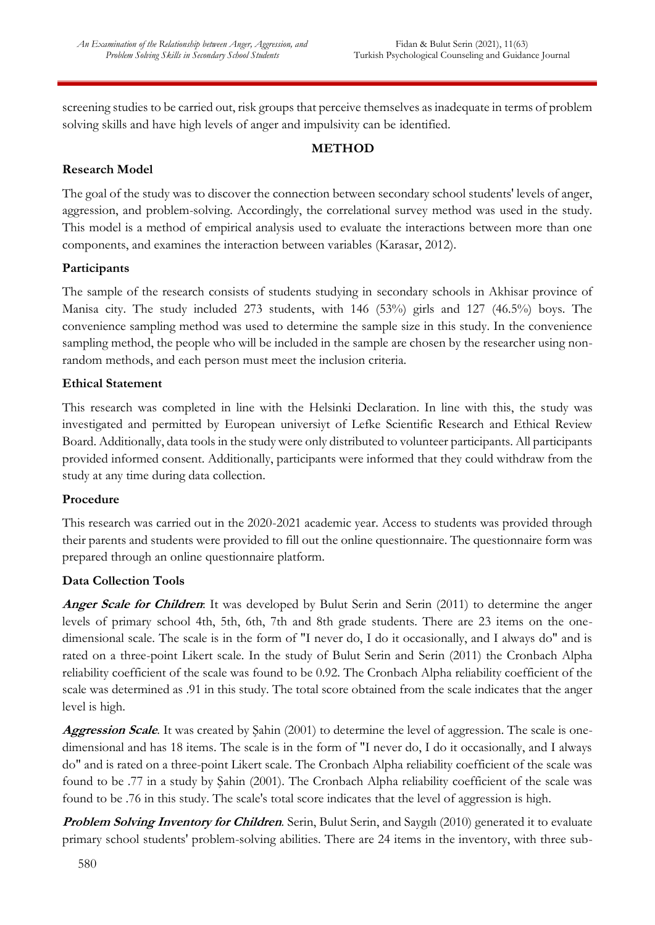screening studies to be carried out, risk groups that perceive themselves as inadequate in terms of problem solving skills and have high levels of anger and impulsivity can be identified.

# **METHOD**

### **Research Model**

The goal of the study was to discover the connection between secondary school students' levels of anger, aggression, and problem-solving. Accordingly, the correlational survey method was used in the study. This model is a method of empirical analysis used to evaluate the interactions between more than one components, and examines the interaction between variables (Karasar, 2012).

### **Participants**

The sample of the research consists of students studying in secondary schools in Akhisar province of Manisa city. The study included 273 students, with 146 (53%) girls and 127 (46.5%) boys. The convenience sampling method was used to determine the sample size in this study. In the convenience sampling method, the people who will be included in the sample are chosen by the researcher using nonrandom methods, and each person must meet the inclusion criteria.

### **Ethical Statement**

This research was completed in line with the Helsinki Declaration. In line with this, the study was investigated and permitted by European universiyt of Lefke Scientific Research and Ethical Review Board. Additionally, data tools in the study were only distributed to volunteer participants. All participants provided informed consent. Additionally, participants were informed that they could withdraw from the study at any time during data collection.

### **Procedure**

This research was carried out in the 2020-2021 academic year. Access to students was provided through their parents and students were provided to fill out the online questionnaire. The questionnaire form was prepared through an online questionnaire platform.

## **Data Collection Tools**

**Anger Scale for Children**: It was developed by Bulut Serin and Serin (2011) to determine the anger levels of primary school 4th, 5th, 6th, 7th and 8th grade students. There are 23 items on the onedimensional scale. The scale is in the form of "I never do, I do it occasionally, and I always do" and is rated on a three-point Likert scale. In the study of Bulut Serin and Serin (2011) the Cronbach Alpha reliability coefficient of the scale was found to be 0.92. The Cronbach Alpha reliability coefficient of the scale was determined as .91 in this study. The total score obtained from the scale indicates that the anger level is high.

**Aggression Scale**. It was created by Şahin (2001) to determine the level of aggression. The scale is onedimensional and has 18 items. The scale is in the form of "I never do, I do it occasionally, and I always do" and is rated on a three-point Likert scale. The Cronbach Alpha reliability coefficient of the scale was found to be .77 in a study by Şahin (2001). The Cronbach Alpha reliability coefficient of the scale was found to be .76 in this study. The scale's total score indicates that the level of aggression is high.

**Problem Solving Inventory for Children**. Serin, Bulut Serin, and Saygılı (2010) generated it to evaluate primary school students' problem-solving abilities. There are 24 items in the inventory, with three sub-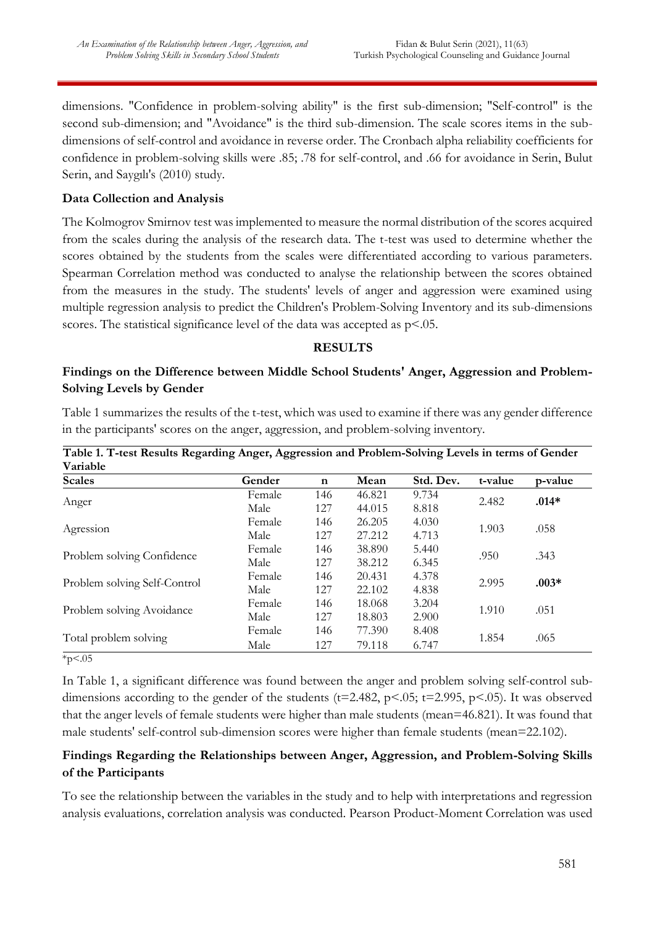dimensions. "Confidence in problem-solving ability" is the first sub-dimension; "Self-control" is the second sub-dimension; and "Avoidance" is the third sub-dimension. The scale scores items in the subdimensions of self-control and avoidance in reverse order. The Cronbach alpha reliability coefficients for confidence in problem-solving skills were .85; .78 for self-control, and .66 for avoidance in Serin, Bulut Serin, and Saygılı's (2010) study.

### **Data Collection and Analysis**

The Kolmogrov Smirnov test was implemented to measure the normal distribution of the scores acquired from the scales during the analysis of the research data. The t-test was used to determine whether the scores obtained by the students from the scales were differentiated according to various parameters. Spearman Correlation method was conducted to analyse the relationship between the scores obtained from the measures in the study. The students' levels of anger and aggression were examined using multiple regression analysis to predict the Children's Problem-Solving Inventory and its sub-dimensions scores. The statistical significance level of the data was accepted as  $p<.05$ .

#### **RESULTS**

### **Findings on the Difference between Middle School Students' Anger, Aggression and Problem-Solving Levels by Gender**

Table 1 summarizes the results of the t-test, which was used to examine if there was any gender difference in the participants' scores on the anger, aggression, and problem-solving inventory.

| Variable                     | $\bullet$<br>87.88 |             |        |           |         |         |
|------------------------------|--------------------|-------------|--------|-----------|---------|---------|
| <b>Scales</b>                | Gender             | $\mathbf n$ | Mean   | Std. Dev. | t-value | p-value |
|                              | Female             | 146         | 46.821 | 9.734     | 2.482   | $.014*$ |
| Anger                        | Male               | 127         | 44.015 | 8.818     |         |         |
| Agression                    | Female             | 146         | 26.205 | 4.030     | 1.903   | .058    |
|                              | Male               | 127         | 27.212 | 4.713     |         |         |
|                              | Female             | 146         | 38.890 | 5.440     | .950    | .343    |
| Problem solving Confidence   | Male               | 127         | 38.212 | 6.345     |         |         |
|                              | Female             | 146         | 20.431 | 4.378     | 2.995   | $.003*$ |
| Problem solving Self-Control | Male               | 127         | 22.102 | 4.838     |         |         |
| Problem solving Avoidance    | Female             | 146         | 18.068 | 3.204     |         | .051    |
|                              | Male               | 127         | 18.803 | 2.900     | 1.910   |         |
|                              | Female             | 146         | 77.390 | 8.408     |         | .065    |
| Total problem solving        | Male               | 127         | 79.118 | 6.747     | 1.854   |         |

**Table 1. T-test Results Regarding Anger, Aggression and Problem-Solving Levels in terms of Gender** 

 $*p < .05$ 

In Table 1, a significant difference was found between the anger and problem solving self-control subdimensions according to the gender of the students ( $t=2.482$ ,  $p<.05$ ;  $t=2.995$ ,  $p<.05$ ). It was observed that the anger levels of female students were higher than male students (mean=46.821). It was found that male students' self-control sub-dimension scores were higher than female students (mean=22.102).

## **Findings Regarding the Relationships between Anger, Aggression, and Problem-Solving Skills of the Participants**

To see the relationship between the variables in the study and to help with interpretations and regression analysis evaluations, correlation analysis was conducted. Pearson Product-Moment Correlation was used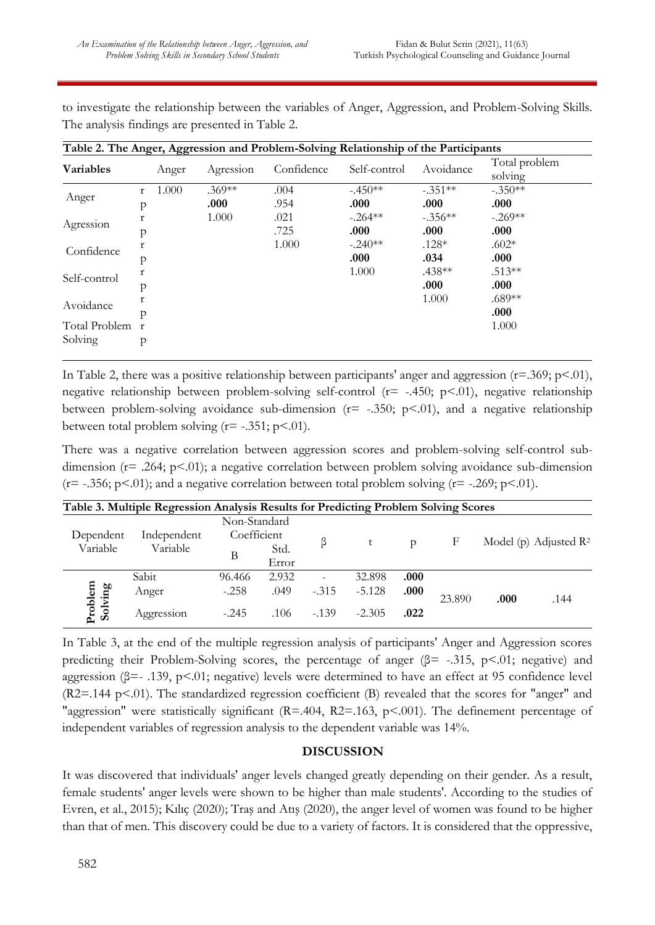to investigate the relationship between the variables of Anger, Aggression, and Problem-Solving Skills. The analysis findings are presented in Table 2.

| Table 2. The Anger, Aggression and Problem-Solving Relationship of the Participants |                           |                  |              |                    |                   |                          |  |
|-------------------------------------------------------------------------------------|---------------------------|------------------|--------------|--------------------|-------------------|--------------------------|--|
| <b>Variables</b>                                                                    | Anger                     | Agression        | Confidence   | Self-control       | Avoidance         | Total problem<br>solving |  |
| Anger                                                                               | 1.000<br>$\mathbf r$<br>p | $.369**$<br>.000 | .004<br>.954 | $-.450**$<br>.000. | $-.351**$<br>.000 | $-.350**$<br>.000        |  |
| Agression                                                                           | r<br>р                    | 1.000            | .021<br>.725 | $-.264**$<br>.000  | $-.356**$<br>.000 | $-.269**$<br>.000        |  |
| Confidence                                                                          | r<br>p                    |                  | 1.000        | $-.240**$<br>.000  | $.128*$<br>.034   | $.602*$<br>.000          |  |
| Self-control                                                                        | r<br>р                    |                  |              | 1.000              | $.438**$<br>.000  | $.513**$<br>.000         |  |
| Avoidance                                                                           | р                         |                  |              |                    | 1.000             | $.689**$<br>.000         |  |
| Total Problem<br>Solving                                                            | $\mathbf{r}$<br>p         |                  |              |                    |                   | 1.000                    |  |

In Table 2, there was a positive relationship between participants' anger and aggression  $(r=.369; p<.01)$ , negative relationship between problem-solving self-control ( $r=$  -.450;  $p<.01$ ), negative relationship between problem-solving avoidance sub-dimension ( $r=$  -.350;  $p<$ .01), and a negative relationship between total problem solving  $(r = -.351; p < .01)$ .

There was a negative correlation between aggression scores and problem-solving self-control subdimension ( $r=$  .264;  $p<0$ 1); a negative correlation between problem solving avoidance sub-dimension  $(r=-.356; p<.01)$ ; and a negative correlation between total problem solving  $(r=-.269; p<.01)$ .

| Table 3. Multiple Regression Analysis Results for Predicting Problem Solving Scores |                         |                             |               |                          |          |               |        |      |                                   |
|-------------------------------------------------------------------------------------|-------------------------|-----------------------------|---------------|--------------------------|----------|---------------|--------|------|-----------------------------------|
| Dependent<br>Variable                                                               | Independent<br>Variable | Non-Standard<br>Coefficient |               |                          |          |               |        |      |                                   |
|                                                                                     |                         | Β                           | Std.<br>Error |                          | t        | $\mathcal{D}$ | F      |      | Model (p) Adjusted $\mathbb{R}^2$ |
| Problem<br>Solving                                                                  | Sabit                   | 96.466                      | 2.932         | $\overline{\phantom{0}}$ | 32.898   | .000          |        |      |                                   |
|                                                                                     | Anger                   | $-.258$                     | .049          | $-.315$                  | $-5.128$ | .000          | 23.890 | .000 | .144                              |
|                                                                                     | Aggression              | $-.245$                     | .106          | $-139$                   | $-2.305$ | .022          |        |      |                                   |

In Table 3, at the end of the multiple regression analysis of participants' Anger and Aggression scores predicting their Problem-Solving scores, the percentage of anger (β= -.315, p<.01; negative) and aggression (β=- .139, p<.01; negative) levels were determined to have an effect at 95 confidence level (R2=.144 p<.01). The standardized regression coefficient (B) revealed that the scores for "anger" and "aggression" were statistically significant (R=.404, R2=.163, p<.001). The definement percentage of independent variables of regression analysis to the dependent variable was 14%.

### **DISCUSSION**

It was discovered that individuals' anger levels changed greatly depending on their gender. As a result, female students' anger levels were shown to be higher than male students'. According to the studies of Evren, et al., 2015); Kılıç (2020); Traş and Atış (2020), the anger level of women was found to be higher than that of men. This discovery could be due to a variety of factors. It is considered that the oppressive,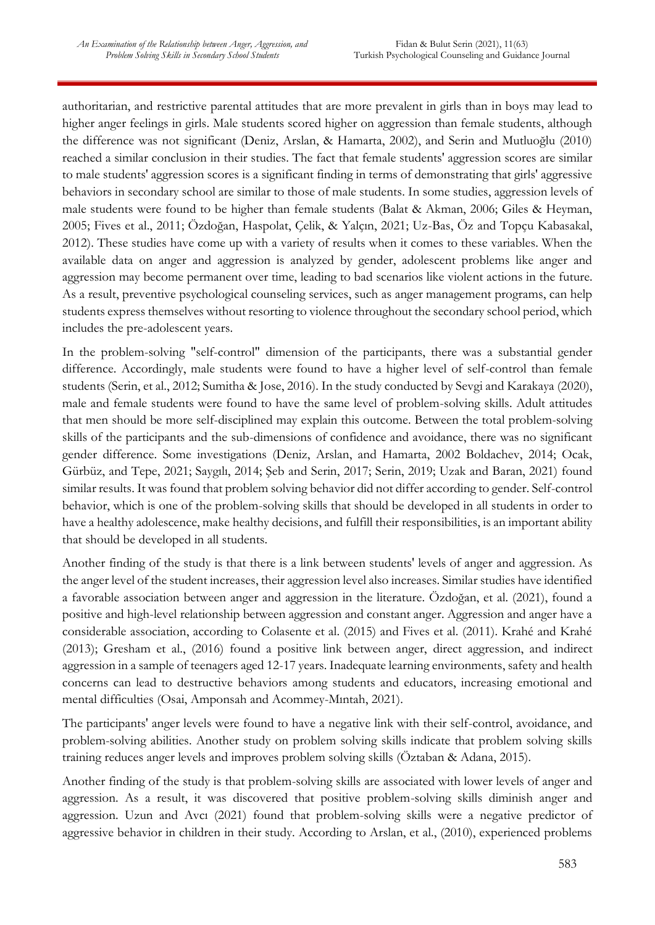authoritarian, and restrictive parental attitudes that are more prevalent in girls than in boys may lead to higher anger feelings in girls. Male students scored higher on aggression than female students, although the difference was not significant (Deniz, Arslan, & Hamarta, 2002), and Serin and Mutluoğlu (2010) reached a similar conclusion in their studies. The fact that female students' aggression scores are similar to male students' aggression scores is a significant finding in terms of demonstrating that girls' aggressive behaviors in secondary school are similar to those of male students. In some studies, aggression levels of male students were found to be higher than female students (Balat & Akman, 2006; Giles & Heyman, 2005; Fives et al., 2011; Özdoğan, Haspolat, Çelik, & Yalçın, 2021; Uz-Bas, Öz and Topçu Kabasakal, 2012). These studies have come up with a variety of results when it comes to these variables. When the available data on anger and aggression is analyzed by gender, adolescent problems like anger and aggression may become permanent over time, leading to bad scenarios like violent actions in the future. As a result, preventive psychological counseling services, such as anger management programs, can help students express themselves without resorting to violence throughout the secondary school period, which includes the pre-adolescent years.

In the problem-solving "self-control" dimension of the participants, there was a substantial gender difference. Accordingly, male students were found to have a higher level of self-control than female students (Serin, et al., 2012; Sumitha & Jose, 2016). In the study conducted by Sevgi and Karakaya (2020), male and female students were found to have the same level of problem-solving skills. Adult attitudes that men should be more self-disciplined may explain this outcome. Between the total problem-solving skills of the participants and the sub-dimensions of confidence and avoidance, there was no significant gender difference. Some investigations (Deniz, Arslan, and Hamarta, 2002 Boldachev, 2014; Ocak, Gürbüz, and Tepe, 2021; Saygılı, 2014; Şeb and Serin, 2017; Serin, 2019; Uzak and Baran, 2021) found similar results. It was found that problem solving behavior did not differ according to gender. Self-control behavior, which is one of the problem-solving skills that should be developed in all students in order to have a healthy adolescence, make healthy decisions, and fulfill their responsibilities, is an important ability that should be developed in all students.

Another finding of the study is that there is a link between students' levels of anger and aggression. As the anger level of the student increases, their aggression level also increases. Similar studies have identified a favorable association between anger and aggression in the literature. Özdoğan, et al. (2021), found a positive and high-level relationship between aggression and constant anger. Aggression and anger have a considerable association, according to Colasente et al. (2015) and Fives et al. (2011). Krahé and Krahé (2013); Gresham et al., (2016) found a positive link between anger, direct aggression, and indirect aggression in a sample of teenagers aged 12-17 years. Inadequate learning environments, safety and health concerns can lead to destructive behaviors among students and educators, increasing emotional and mental difficulties (Osai, Amponsah and Acommey-Mıntah, 2021).

The participants' anger levels were found to have a negative link with their self-control, avoidance, and problem-solving abilities. Another study on problem solving skills indicate that problem solving skills training reduces anger levels and improves problem solving skills (Öztaban & Adana, 2015).

Another finding of the study is that problem-solving skills are associated with lower levels of anger and aggression. As a result, it was discovered that positive problem-solving skills diminish anger and aggression. Uzun and Avcı (2021) found that problem-solving skills were a negative predictor of aggressive behavior in children in their study. According to Arslan, et al., (2010), experienced problems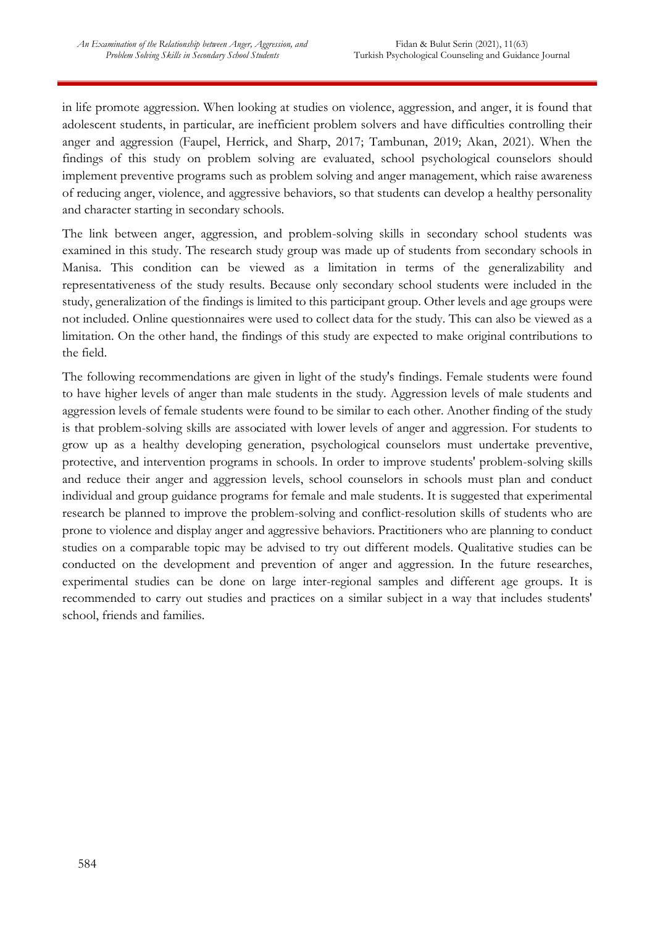in life promote aggression. When looking at studies on violence, aggression, and anger, it is found that adolescent students, in particular, are inefficient problem solvers and have difficulties controlling their anger and aggression (Faupel, Herrick, and Sharp, 2017; Tambunan, 2019; Akan, 2021). When the findings of this study on problem solving are evaluated, school psychological counselors should implement preventive programs such as problem solving and anger management, which raise awareness of reducing anger, violence, and aggressive behaviors, so that students can develop a healthy personality and character starting in secondary schools.

The link between anger, aggression, and problem-solving skills in secondary school students was examined in this study. The research study group was made up of students from secondary schools in Manisa. This condition can be viewed as a limitation in terms of the generalizability and representativeness of the study results. Because only secondary school students were included in the study, generalization of the findings is limited to this participant group. Other levels and age groups were not included. Online questionnaires were used to collect data for the study. This can also be viewed as a limitation. On the other hand, the findings of this study are expected to make original contributions to the field.

The following recommendations are given in light of the study's findings. Female students were found to have higher levels of anger than male students in the study. Aggression levels of male students and aggression levels of female students were found to be similar to each other. Another finding of the study is that problem-solving skills are associated with lower levels of anger and aggression. For students to grow up as a healthy developing generation, psychological counselors must undertake preventive, protective, and intervention programs in schools. In order to improve students' problem-solving skills and reduce their anger and aggression levels, school counselors in schools must plan and conduct individual and group guidance programs for female and male students. It is suggested that experimental research be planned to improve the problem-solving and conflict-resolution skills of students who are prone to violence and display anger and aggressive behaviors. Practitioners who are planning to conduct studies on a comparable topic may be advised to try out different models. Qualitative studies can be conducted on the development and prevention of anger and aggression. In the future researches, experimental studies can be done on large inter-regional samples and different age groups. It is recommended to carry out studies and practices on a similar subject in a way that includes students' school, friends and families.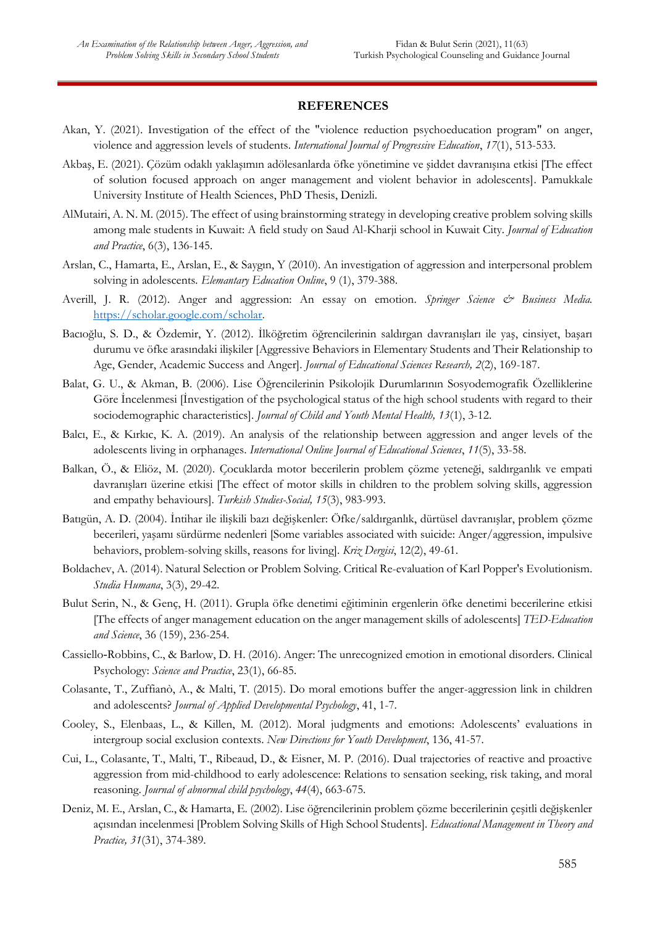#### **REFERENCES**

- Akan, Y. (2021). Investigation of the effect of the "violence reduction psychoeducation program" on anger, violence and aggression levels of students. *International Journal of Progressive Education*, *17*(1), 513-533.
- Akbaş, E. (2021). Çözüm odaklı yaklaşımın adölesanlarda öfke yönetimine ve şiddet davranışına etkisi [The effect of solution focused approach on anger management and violent behavior in adolescents]. Pamukkale University Institute of Health Sciences, PhD Thesis, Denizli.
- AlMutairi, A. N. M. (2015). The effect of using brainstorming strategy in developing creative problem solving skills among male students in Kuwait: A field study on Saud Al-Kharji school in Kuwait City. *Journal of Education and Practice*, 6(3), 136-145.
- Arslan, C., Hamarta, E., Arslan, E., & Saygın, Y (2010). An investigation of aggression and interpersonal problem solving in adolescents*. Elemantary Education Online*, 9 (1), 379-388.
- Averill, J. R. (2012). Anger and aggression: An essay on emotion. *Springer Science & Business Media*. [https://scholar.google.com/scholar.](https://scholar.google.com/scholar)
- Bacıoğlu, S. D., & Özdemir, Y. (2012). İlköğretim öğrencilerinin saldırgan davranışları ile yaş, cinsiyet, başarı durumu ve öfke arasındaki ilişkiler [Aggressive Behaviors in Elementary Students and Their Relationship to Age, Gender, Academic Success and Anger]. *Journal of Educational Sciences Research, 2*(2), 169-187.
- Balat, G. U., & Akman, B. (2006). Lise Öğrencilerinin Psikolojik Durumlarının Sosyodemografik Özelliklerine Göre İncelenmesi [İnvestigation of the psychological status of the high school students with regard to their sociodemographic characteristics]. *Journal of Child and Youth Mental Health, 13*(1), 3-12.
- Balcı, E., & Kırkıc, K. A. (2019). An analysis of the relationship between aggression and anger levels of the adolescents living in orphanages. *International Online Journal of Educational Sciences*, *11*(5), 33-58.
- Balkan, Ö., & Eliöz, M. (2020). Çocuklarda motor becerilerin problem çözme yeteneği, saldırganlık ve empati davranışları üzerine etkisi [The effect of motor skills in children to the problem solving skills, aggression and empathy behaviours]. *Turkish Studies-Social, 15*(3), 983-993.
- Batıgün, A. D. (2004). İntihar ile ilişkili bazı değişkenler: Öfke/saldırganlık, dürtüsel davranışlar, problem çözme becerileri, yaşamı sürdürme nedenleri [Some variables associated with suicide: Anger/aggression, impulsive behaviors, problem-solving skills, reasons for living]. *Kriz Dergisi*, 12(2), 49-61.
- Boldachev, A. (2014). Natural Selection or Problem Solving. Critical Re-evaluation of Karl Popper's Evolutionism. *Studia Humana*, 3(3), 29-42.
- Bulut Serin, N., & Genç, H. (2011). Grupla öfke denetimi eğitiminin ergenlerin öfke denetimi becerilerine etkisi [The effects of anger management education on the anger management skills of adolescents] *TED-Education and Science*, 36 (159), 236-254.
- Cassiello‐Robbins, C., & Barlow, D. H. (2016). Anger: The unrecognized emotion in emotional disorders. Clinical Psychology: *Science and Practice*, 23(1), 66-85.
- Colasante, T., Zuffianò, A., & Malti, T. (2015). Do moral emotions buffer the anger-aggression link in children and adolescents? *Journal of Applied Developmental Psychology*, 41, 1-7.
- Cooley, S., Elenbaas, L., & Killen, M. (2012). Moral judgments and emotions: Adolescents' evaluations in intergroup social exclusion contexts. *New Directions for Youth Development*, 136, 41-57.
- Cui, L., Colasante, T., Malti, T., Ribeaud, D., & Eisner, M. P. (2016). Dual trajectories of reactive and proactive aggression from mid-childhood to early adolescence: Relations to sensation seeking, risk taking, and moral reasoning. *Journal of abnormal child psychology*, *44*(4), 663-675.
- Deniz, M. E., Arslan, C., & Hamarta, E. (2002). Lise öğrencilerinin problem çözme becerilerinin çeşitli değişkenler açısından incelenmesi [Problem Solving Skills of High School Students]. *Educational Management in Theory and Practice, 31*(31), 374-389.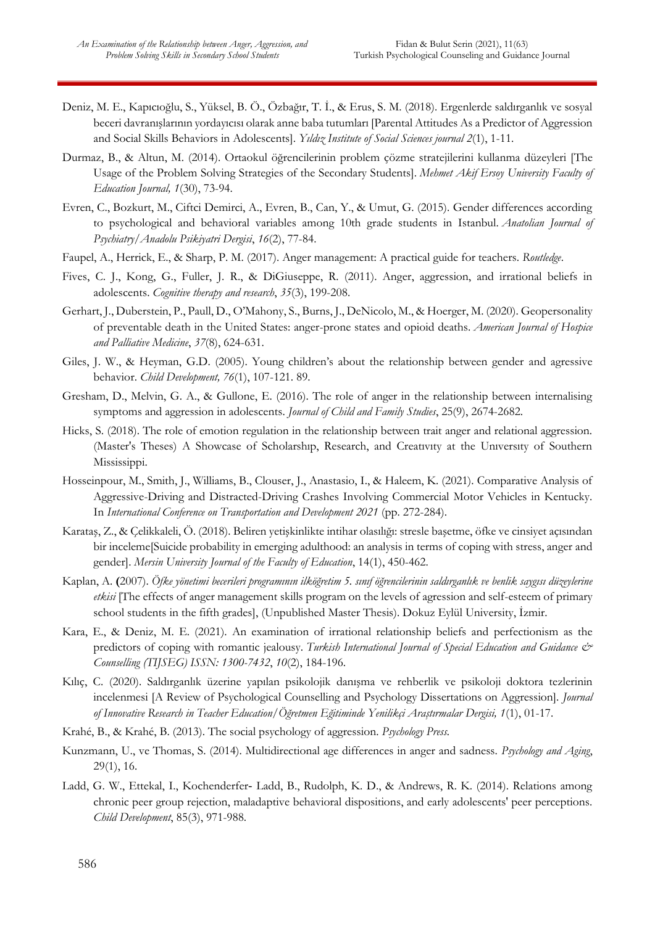- Deniz, M. E., Kapıcıoğlu, S., Yüksel, B. Ö., Özbağır, T. İ., & Erus, S. M. (2018). Ergenlerde saldırganlık ve sosyal beceri davranışlarının yordayıcısı olarak anne baba tutumları [Parental Attitudes As a Predictor of Aggression and Social Skills Behaviors in Adolescents]. *Yıldız Institute of Social Sciences journal 2*(1), 1-11.
- Durmaz, B., & Altun, M. (2014). Ortaokul öğrencilerinin problem çözme stratejilerini kullanma düzeyleri [The Usage of the Problem Solving Strategies of the Secondary Students]. *Mehmet Akif Ersoy University Faculty of Education Journal, 1*(30), 73-94.
- Evren, C., Bozkurt, M., Ciftci Demirci, A., Evren, B., Can, Y., & Umut, G. (2015). Gender differences according to psychological and behavioral variables among 10th grade students in Istanbul. *Anatolian Journal of Psychiatry/Anadolu Psikiyatri Dergisi*, *16*(2), 77-84.
- Faupel, A., Herrick, E., & Sharp, P. M. (2017). Anger management: A practical guide for teachers. *Routledge*.
- Fives, C. J., Kong, G., Fuller, J. R., & DiGiuseppe, R. (2011). Anger, aggression, and irrational beliefs in adolescents. *Cognitive therapy and research*, *35*(3), 199-208.
- Gerhart, J., Duberstein, P., Paull, D., O'Mahony, S., Burns, J., DeNicolo, M., & Hoerger, M. (2020). Geopersonality of preventable death in the United States: anger-prone states and opioid deaths. *American Journal of Hospice and Palliative Medicine*, *37*(8), 624-631.
- Giles, J. W., & Heyman, G.D. (2005). Young children's about the relationship between gender and agressive behavior. *Child Development, 76*(1), 107-121. 89.
- Gresham, D., Melvin, G. A., & Gullone, E. (2016). The role of anger in the relationship between internalising symptoms and aggression in adolescents. *Journal of Child and Family Studies*, 25(9), 2674-2682.
- Hicks, S. (2018). The role of emotion regulation in the relationship between trait anger and relational aggression. (Master's Theses) A Showcase of Scholarshıp, Research, and Creatıvıty at the Unıversıty of Southern Mississippi.
- Hosseinpour, M., Smith, J., Williams, B., Clouser, J., Anastasio, I., & Haleem, K. (2021). Comparative Analysis of Aggressive-Driving and Distracted-Driving Crashes Involving Commercial Motor Vehicles in Kentucky. In *International Conference on Transportation and Development 2021* (pp. 272-284).
- Karataş, Z., & Çelikkaleli, Ö. (2018). Beliren yetişkinlikte intihar olasılığı: stresle başetme, öfke ve cinsiyet açısından bir inceleme[Suicide probability in emerging adulthood: an analysis in terms of coping with stress, anger and gender]. *Mersin University Journal of the Faculty of Education*, 14(1), 450-462.
- Kaplan, A. **(**2007). *Öfke yönetimi becerileri programının ilköğretim 5. sınıf öğrencilerinin saldırganlık ve benlik saygısı düzeylerine etkisi* [The effects of anger management skills program on the levels of agression and self-esteem of primary school students in the fifth grades], (Unpublished Master Thesis). Dokuz Eylül University, İzmir.
- Kara, E., & Deniz, M. E. (2021). An examination of irrational relationship beliefs and perfectionism as the predictors of coping with romantic jealousy. *Turkish International Journal of Special Education and Guidance & Counselling (TIJSEG) ISSN: 1300-7432*, *10*(2), 184-196.
- Kılıç, C. (2020). Saldırganlık üzerine yapılan psikolojik danışma ve rehberlik ve psikoloji doktora tezlerinin incelenmesi [A Review of Psychological Counselling and Psychology Dissertations on Aggression]. *Journal of Innovative Research in Teacher Education/Öğretmen Eğitiminde Yenilikçi Araştırmalar Dergisi, 1*(1), 01-17.
- Krahé, B., & Krahé, B. (2013). The social psychology of aggression. *Psychology Press.*
- Kunzmann, U., ve Thomas, S. (2014). Multidirectional age differences in anger and sadness. *Psychology and Aging*, 29(1), 16.
- Ladd, G. W., Ettekal, I., Kochenderfer‐ Ladd, B., Rudolph, K. D., & Andrews, R. K. (2014). Relations among chronic peer group rejection, maladaptive behavioral dispositions, and early adolescents' peer perceptions. *Child Development*, 85(3), 971-988.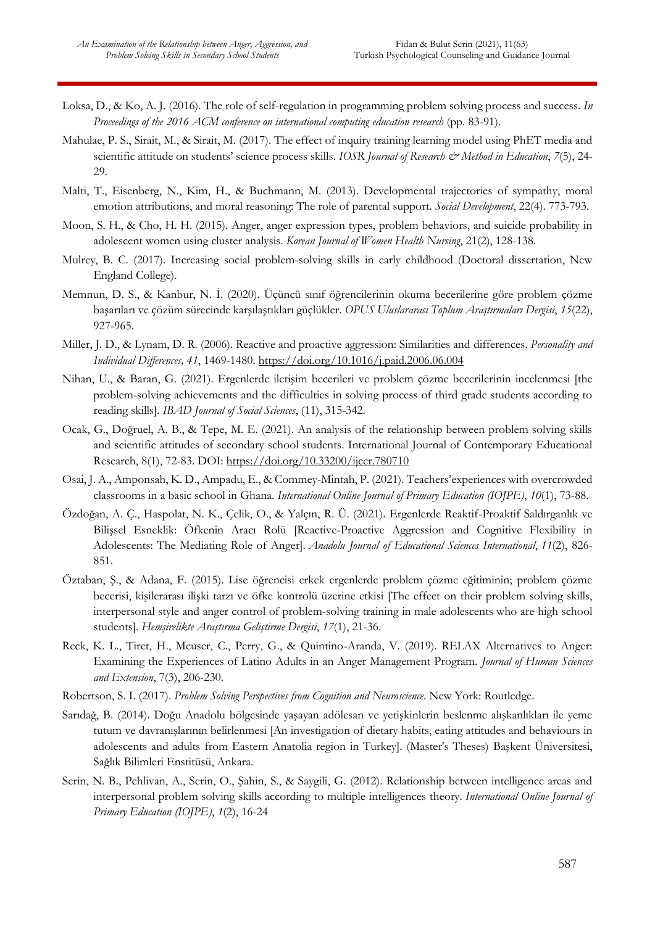- Loksa, D., & Ko, A. J. (2016). The role of self-regulation in programming problem solving process and success. *In Proceedings of the 2016 ACM conference on international computing education research* (pp. 83-91).
- Mahulae, P. S., Sirait, M., & Sirait, M. (2017). The effect of inquiry training learning model using PhET media and scientific attitude on students' science process skills. *IOSR Journal of Research & Method in Education*, 7(5), 24-29.
- Malti, T., Eisenberg, N., Kim, H., & Buchmann, M. (2013). Developmental trajectories of sympathy, moral emotion attributions, and moral reasoning: The role of parental support. *Social Development*, 22(4). 773-793.
- Moon, S. H., & Cho, H. H. (2015). Anger, anger expression types, problem behaviors, and suicide probability in adolescent women using cluster analysis. *Korean Journal of Women Health Nursing*, 21(2), 128-138.
- Mulrey, B. C. (2017). Increasing social problem-solving skills in early childhood (Doctoral dissertation, New England College).
- Memnun, D. S., & Kanbur, N. İ. (2020). Üçüncü sınıf öğrencilerinin okuma becerilerine göre problem çözme başarıları ve çözüm sürecinde karşılaştıkları güçlükler. *OPUS Uluslararası Toplum Araştırmaları Dergisi*, *15*(22), 927-965.
- Miller, J. D., & Lynam, D. R. (2006). Reactive and proactive aggression: Similarities and differences. *Personality and Individual Differences, 41*, 1469-1480.<https://doi.org/10.1016/j.paid.2006.06.004>
- Nihan, U., & Baran, G. (2021). Ergenlerde iletişim becerileri ve problem çözme becerilerinin incelenmesi [the problem-solving achievements and the difficulties in solving process of third grade students according to reading skills]. *IBAD Journal of Social Sciences*, (11), 315-342.
- Ocak, G., Doğruel, A. B., & Tepe, M. E. (2021). An analysis of the relationship between problem solving skills and scientific attitudes of secondary school students. International Journal of Contemporary Educational Research, 8(1), 72-83. DOI:<https://doi.org/10.33200/ijcer.780710>
- Osai, J. A., Amponsah, K. D., Ampadu, E., & Commey-Mintah, P. (2021). Teachers'experiences with overcrowded classrooms in a basic school in Ghana. *International Online Journal of Primary Education (IOJPE)*, *10*(1), 73-88.
- Özdoğan, A. Ç., Haspolat, N. K., Çelik, O., & Yalçın, R. Ü. (2021). Ergenlerde Reaktif-Proaktif Saldırganlık ve Bilişsel Esneklik: Öfkenin Aracı Rolü [Reactive-Proactive Aggression and Cognitive Flexibility in Adolescents: The Mediating Role of Anger]. *Anadolu Journal of Educational Sciences International*, *11*(2), 826- 851.
- Öztaban, Ş., & Adana, F. (2015). Lise öğrencisi erkek ergenlerde problem çözme eğitiminin; problem çözme becerisi, kişilerarası ilişki tarzı ve öfke kontrolü üzerine etkisi [The effect on their problem solving skills, interpersonal style and anger control of problem-solving training in male adolescents who are high school students]. *Hemşirelikte Araştırma Geliştirme Dergisi*, *17*(1), 21-36.
- Reck, K. L., Tiret, H., Meuser, C., Perry, G., & Quintino-Aranda, V. (2019). RELAX Alternatives to Anger: Examining the Experiences of Latino Adults in an Anger Management Program. *Journal of Human Sciences and Extension*, 7(3), 206-230.
- Robertson, S. I. (2017). *Problem Solving Perspectives from Cognition and Neuroscience*. New York: Routledge.
- Sarıdağ, B. (2014). Doğu Anadolu bölgesinde yaşayan adölesan ve yetişkinlerin beslenme alışkanlıkları ile yeme tutum ve davranışlarının belirlenmesi [An investigation of dietary habits, eating attitudes and behaviours in adolescents and adults from Eastern Anatolia region in Turkey]. (Master's Theses) Başkent Üniversitesi, Sağlık Bilimleri Enstitüsü, Ankara.
- Serin, N. B., Pehlivan, A., Serin, O., Şahin, S., & Saygili, G. (2012). Relationship between intelligence areas and interpersonal problem solving skills according to multiple intelligences theory. *International Online Journal of Primary Education (IOJPE)*, *1*(2), 16-24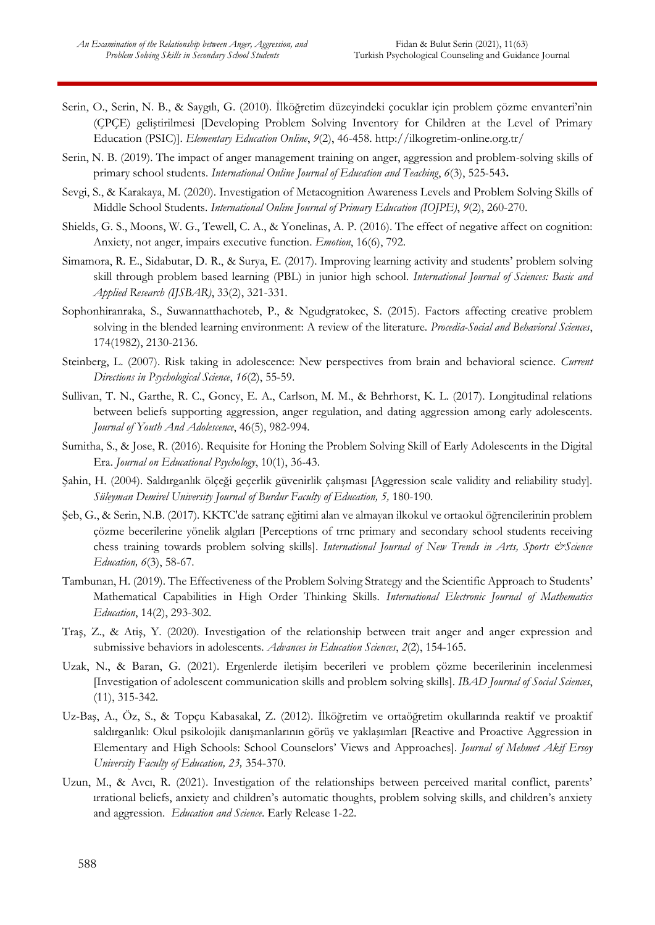- Serin, O., Serin, N. B., & Saygılı, G. (2010). İlköğretim düzeyindeki çocuklar için problem çözme envanteri'nin (ÇPÇE) geliştirilmesi [Developing Problem Solving Inventory for Children at the Level of Primary Education (PSIC)]. *Elementary Education Online*, *9*(2), 46-458.<http://ilkogretim-online.org.tr/>
- Serin, N. B. (2019). The impact of anger management training on anger, aggression and problem-solving skills of primary school students*. International Online Journal of Education and Teaching*, *6*(3), 525-543**.**
- Sevgi, S., & Karakaya, M. (2020). Investigation of Metacognition Awareness Levels and Problem Solving Skills of Middle School Students. *International Online Journal of Primary Education (IOJPE)*, *9*(2), 260-270.
- Shields, G. S., Moons, W. G., Tewell, C. A., & Yonelinas, A. P. (2016). The effect of negative affect on cognition: Anxiety, not anger, impairs executive function. *Emotion*, 16(6), 792.
- Simamora, R. E., Sidabutar, D. R., & Surya, E. (2017). Improving learning activity and students' problem solving skill through problem based learning (PBL) in junior high school. *International Journal of Sciences: Basic and Applied Research (IJSBAR)*, 33(2), 321-331.
- Sophonhiranraka, S., Suwannatthachoteb, P., & Ngudgratokec, S. (2015). Factors affecting creative problem solving in the blended learning environment: A review of the literature. *Procedia-Social and Behavioral Sciences*, 174(1982), 2130-2136.
- Steinberg, L. (2007). Risk taking in adolescence: New perspectives from brain and behavioral science. *Current Directions in Psychological Science*, *16*(2), 55-59.
- Sullivan, T. N., Garthe, R. C., Goncy, E. A., Carlson, M. M., & Behrhorst, K. L. (2017). Longitudinal relations between beliefs supporting aggression, anger regulation, and dating aggression among early adolescents. *Journal of Youth And Adolescence*, 46(5), 982-994.
- Sumitha, S., & Jose, R. (2016). Requisite for Honing the Problem Solving Skill of Early Adolescents in the Digital Era. *Journal on Educational Psychology*, 10(1), 36-43.
- Şahin, H. (2004). Saldırganlık ölçeği geçerlik güvenirlik çalışması [Aggression scale validity and reliability study]. *Süleyman Demirel University Journal of Burdur Faculty of Education, 5,* 180-190.
- Şeb, G., & Serin, N.B. (2017). [KKTC'de satranç eğitimi alan ve almayan ilkokul ve ortaokul öğrencilerinin problem](javascript:void(0))  [çözme becerilerine yönelik algıları](javascript:void(0)) [Perceptions of trnc primary and secondary school students receiving chess training towards problem solving skills]. *International Journal of New Trends in Arts, Sports & Science Education, 6*(3), 58-67.
- Tambunan, H. (2019). The Effectiveness of the Problem Solving Strategy and the Scientific Approach to Students' Mathematical Capabilities in High Order Thinking Skills. *International Electronic Journal of Mathematics Education*, 14(2), 293-302.
- Traş, Z., & Atiş, Y. (2020). Investigation of the relationship between trait anger and anger expression and submissive behaviors in adolescents. *Advances in Education Sciences*, *2*(2), 154-165.
- Uzak, N., & Baran, G. (2021). Ergenlerde iletişim becerileri ve problem çözme becerilerinin incelenmesi [Investigation of adolescent communication skills and problem solving skills]. *IBAD Journal of Social Sciences*, (11), 315-342.
- Uz-Baş, A., Öz, S., & Topçu Kabasakal, Z. (2012). İlköğretim ve ortaöğretim okullarında reaktif ve proaktif saldırganlık: Okul psikolojik danışmanlarının görüş ve yaklaşımları [Reactive and Proactive Aggression in Elementary and High Schools: School Counselors' Views and Approaches]. *Journal of Mehmet Akif Ersoy University Faculty of Education, 23,* 354-370.
- Uzun, M., & Avcı, R. (2021). Investigation of the relationships between perceived marital conflict, parents' ırrational beliefs, anxiety and children's automatic thoughts, problem solving skills, and children's anxiety and aggression. *Education and Science*. Early Release 1-22.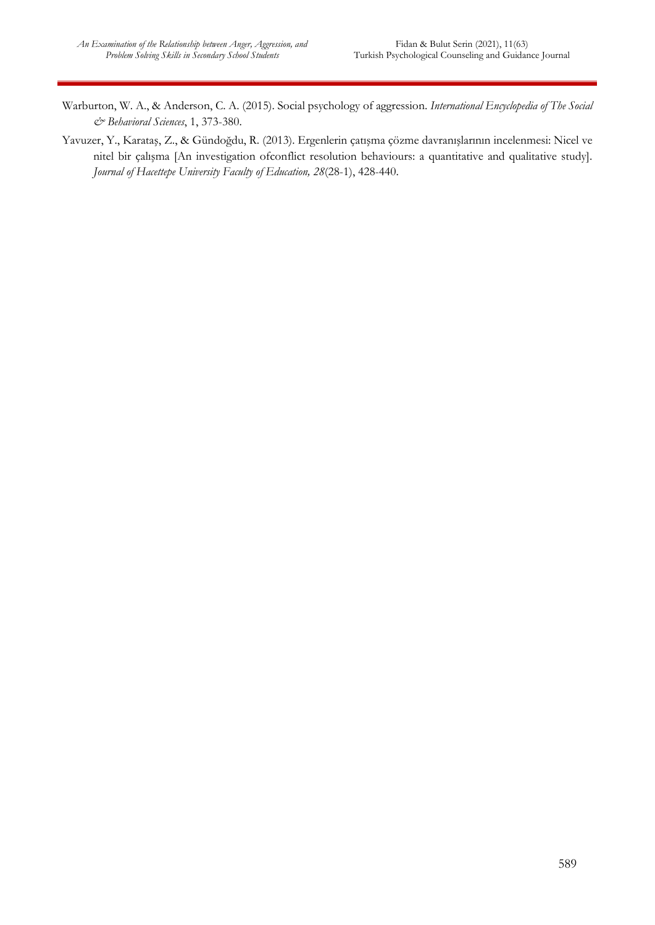- Warburton, W. A., & Anderson, C. A. (2015). Social psychology of aggression. *International Encyclopedia of The Social & Behavioral Sciences*, 1, 373-380.
- Yavuzer, Y., Karataş, Z., & Gündoğdu, R. (2013). Ergenlerin çatışma çözme davranışlarının incelenmesi: Nicel ve nitel bir çalışma [An investigation ofconflict resolution behaviours: a quantitative and qualitative study]. *Journal of Hacettepe University Faculty of Education, 28*(28-1), 428-440.